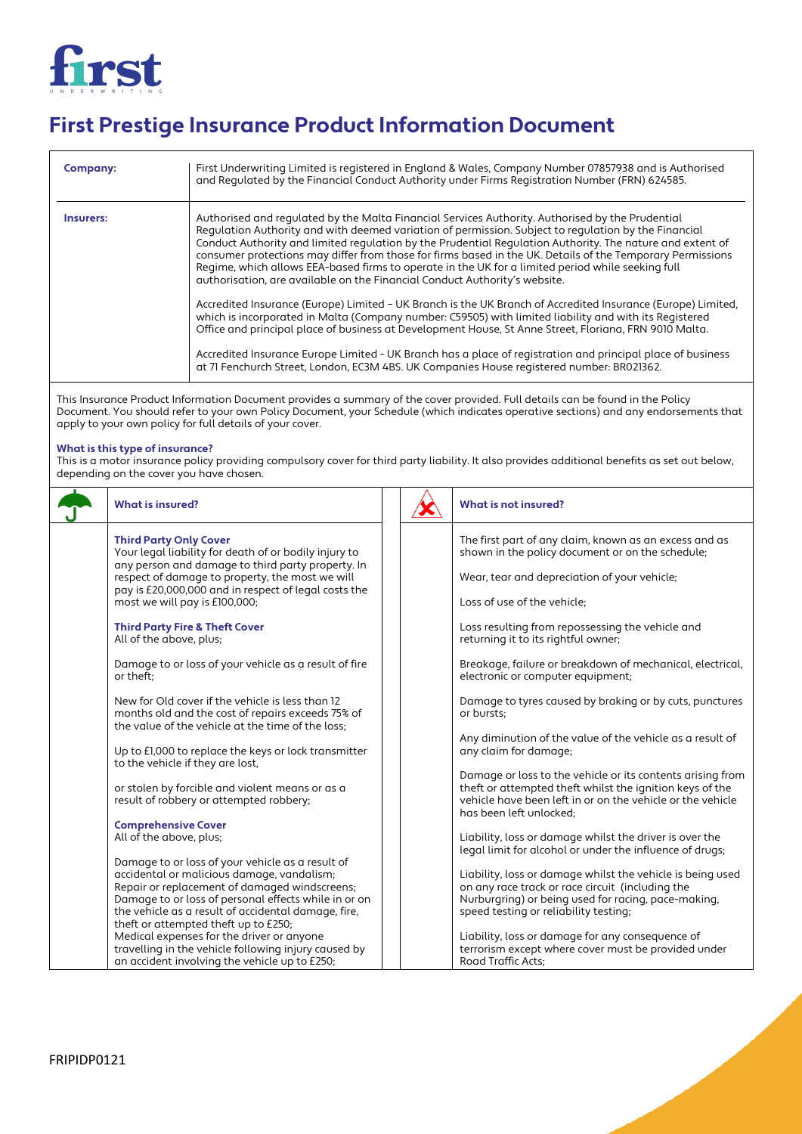

## **First Prestige Insurance Product Information Document**

| Company:  | First Underwriting Limited is registered in England & Wales, Company Number 07857938 and is Authorised<br>and Requlated by the Financial Conduct Authority under Firms Registration Number (FRN) 624585.                                                                                                                                                                                                                                                                                                                                                                                                               |
|-----------|------------------------------------------------------------------------------------------------------------------------------------------------------------------------------------------------------------------------------------------------------------------------------------------------------------------------------------------------------------------------------------------------------------------------------------------------------------------------------------------------------------------------------------------------------------------------------------------------------------------------|
| Insurers: | Authorised and regulated by the Malta Financial Services Authority. Authorised by the Prudential<br>Requlation Authority and with deemed variation of permission. Subject to requlation by the Financial<br>Conduct Authority and limited regulation by the Prudential Regulation Authority. The nature and extent of<br>consumer protections may differ from those for firms based in the UK. Details of the Temporary Permissions<br>Regime, which allows EEA-based firms to operate in the UK for a limited period while seeking full<br>authorisation, are available on the Financial Conduct Authority's website. |
|           | Accredited Insurance (Europe) Limited - UK Branch is the UK Branch of Accredited Insurance (Europe) Limited,<br>which is incorporated in Malta (Company number: C59505) with limited liability and with its Registered<br>Office and principal place of business at Development House, St Anne Street, Floriana, FRN 9010 Malta.                                                                                                                                                                                                                                                                                       |
|           | Accredited Insurance Europe Limited - UK Branch has a place of registration and principal place of business<br>at 71 Fenchurch Street, London, EC3M 4BS. UK Companies House registered number: BR021362.                                                                                                                                                                                                                                                                                                                                                                                                               |

This Insurance Product Information Document provides a summary of the cover provided. Full details can be found in the Policy Document. You should refer to your own Policy Document, your Schedule (which indicates operative sections) and any endorsements that apply to your own policy for full details of your cover.

## **What is this type of insurance?**

This is a motor insurance policy providing compulsory cover for third party liability. It also provides additional benefits as set out below, depending on the cover you have chosen.

| <b>What is insured?</b>                                                                                                                                    |  | What is not insured?                                                                                                                                                                                            |
|------------------------------------------------------------------------------------------------------------------------------------------------------------|--|-----------------------------------------------------------------------------------------------------------------------------------------------------------------------------------------------------------------|
| <b>Third Party Only Cover</b><br>Your legal liability for death of or bodily injury to<br>any person and damage to third party property. In                |  | The first part of any claim, known as an excess and as<br>shown in the policy document or on the schedule;                                                                                                      |
| respect of damage to property, the most we will<br>pay is £20,000,000 and in respect of legal costs the                                                    |  | Wear, tear and depreciation of your vehicle;                                                                                                                                                                    |
| most we will pay is £100,000;                                                                                                                              |  | Loss of use of the vehicle;                                                                                                                                                                                     |
| <b>Third Party Fire &amp; Theft Cover</b><br>All of the above, plus;                                                                                       |  | Loss resulting from repossessing the vehicle and<br>returning it to its rightful owner;                                                                                                                         |
| Damage to or loss of your vehicle as a result of fire<br>or theft:                                                                                         |  | Breakage, failure or breakdown of mechanical, electrical,<br>electronic or computer equipment;                                                                                                                  |
| New for Old cover if the vehicle is less than 12<br>months old and the cost of repairs exceeds 75% of<br>the value of the vehicle at the time of the loss; |  | Damage to tyres caused by braking or by cuts, punctures<br>or bursts:                                                                                                                                           |
| Up to £1,000 to replace the keys or lock transmitter<br>to the vehicle if they are lost.                                                                   |  | Any diminution of the value of the vehicle as a result of<br>any claim for damage;                                                                                                                              |
| or stolen by forcible and violent means or as a<br>result of robbery or attempted robbery;                                                                 |  | Damage or loss to the vehicle or its contents arising from<br>theft or attempted theft whilst the ignition keys of the<br>vehicle have been left in or on the vehicle or the vehicle<br>has been left unlocked: |
| <b>Comprehensive Cover</b>                                                                                                                                 |  |                                                                                                                                                                                                                 |
| All of the above, plus;                                                                                                                                    |  | Liability, loss or damage whilst the driver is over the<br>legal limit for alcohol or under the influence of drugs;                                                                                             |
| Damage to or loss of your vehicle as a result of                                                                                                           |  |                                                                                                                                                                                                                 |
| accidental or malicious damage, vandalism;                                                                                                                 |  | Liability, loss or damage whilst the vehicle is being used                                                                                                                                                      |
| Repair or replacement of damaged windscreens;                                                                                                              |  | on any race track or race circuit (including the                                                                                                                                                                |
| Damage to or loss of personal effects while in or on                                                                                                       |  | Nurburgring) or being used for racing, pace-making,                                                                                                                                                             |
| the vehicle as a result of accidental damage, fire,                                                                                                        |  | speed testing or reliability testing;                                                                                                                                                                           |
| theft or attempted theft up to £250;<br>Medical expenses for the driver or anyone                                                                          |  |                                                                                                                                                                                                                 |
| travelling in the vehicle following injury caused by                                                                                                       |  | Liability, loss or damage for any consequence of<br>terrorism except where cover must be provided under                                                                                                         |
| an accident involving the vehicle up to £250;                                                                                                              |  | Road Traffic Acts:                                                                                                                                                                                              |
|                                                                                                                                                            |  |                                                                                                                                                                                                                 |